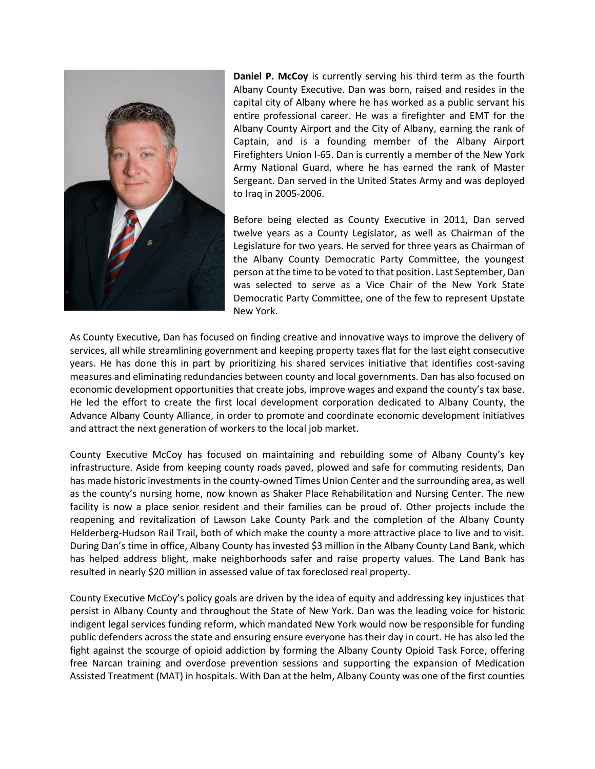

**Daniel P. McCoy** is currently serving his third term as the fourth Albany County Executive. Dan was born, raised and resides in the capital city of Albany where he has worked as a public servant his entire professional career. He was a firefighter and EMT for the Albany County Airport and the City of Albany, earning the rank of Captain, and is a founding member of the Albany Airport Firefighters Union I-65. Dan is currently a member of the New York Army National Guard, where he has earned the rank of Master Sergeant. Dan served in the United States Army and was deployed to Iraq in 2005-2006.

Before being elected as County Executive in 2011, Dan served twelve years as a County Legislator, as well as Chairman of the Legislature for two years. He served for three years as Chairman of the Albany County Democratic Party Committee, the youngest person at the time to be voted to that position. Last September, Dan was selected to serve as a Vice Chair of the New York State Democratic Party Committee, one of the few to represent Upstate New York.

As County Executive, Dan has focused on finding creative and innovative ways to improve the delivery of services, all while streamlining government and keeping property taxes flat for the last eight consecutive years. He has done this in part by prioritizing his shared services initiative that identifies cost-saving measures and eliminating redundancies between county and local governments. Dan has also focused on economic development opportunities that create jobs, improve wages and expand the county's tax base. He led the effort to create the first local development corporation dedicated to Albany County, the Advance Albany County Alliance, in order to promote and coordinate economic development initiatives and attract the next generation of workers to the local job market.

County Executive McCoy has focused on maintaining and rebuilding some of Albany County's key infrastructure. Aside from keeping county roads paved, plowed and safe for commuting residents, Dan has made historic investments in the county-owned Times Union Center and the surrounding area, as well as the county's nursing home, now known as Shaker Place Rehabilitation and Nursing Center. The new facility is now a place senior resident and their families can be proud of. Other projects include the reopening and revitalization of Lawson Lake County Park and the completion of the Albany County Helderberg-Hudson Rail Trail, both of which make the county a more attractive place to live and to visit. During Dan's time in office, Albany County has invested \$3 million in the Albany County Land Bank, which has helped address blight, make neighborhoods safer and raise property values. The Land Bank has resulted in nearly \$20 million in assessed value of tax foreclosed real property.

County Executive McCoy's policy goals are driven by the idea of equity and addressing key injustices that persist in Albany County and throughout the State of New York. Dan was the leading voice for historic indigent legal services funding reform, which mandated New York would now be responsible for funding public defenders across the state and ensuring ensure everyone has their day in court. He has also led the fight against the scourge of opioid addiction by forming the Albany County Opioid Task Force, offering free Narcan training and overdose prevention sessions and supporting the expansion of Medication Assisted Treatment (MAT) in hospitals. With Dan at the helm, Albany County was one of the first counties